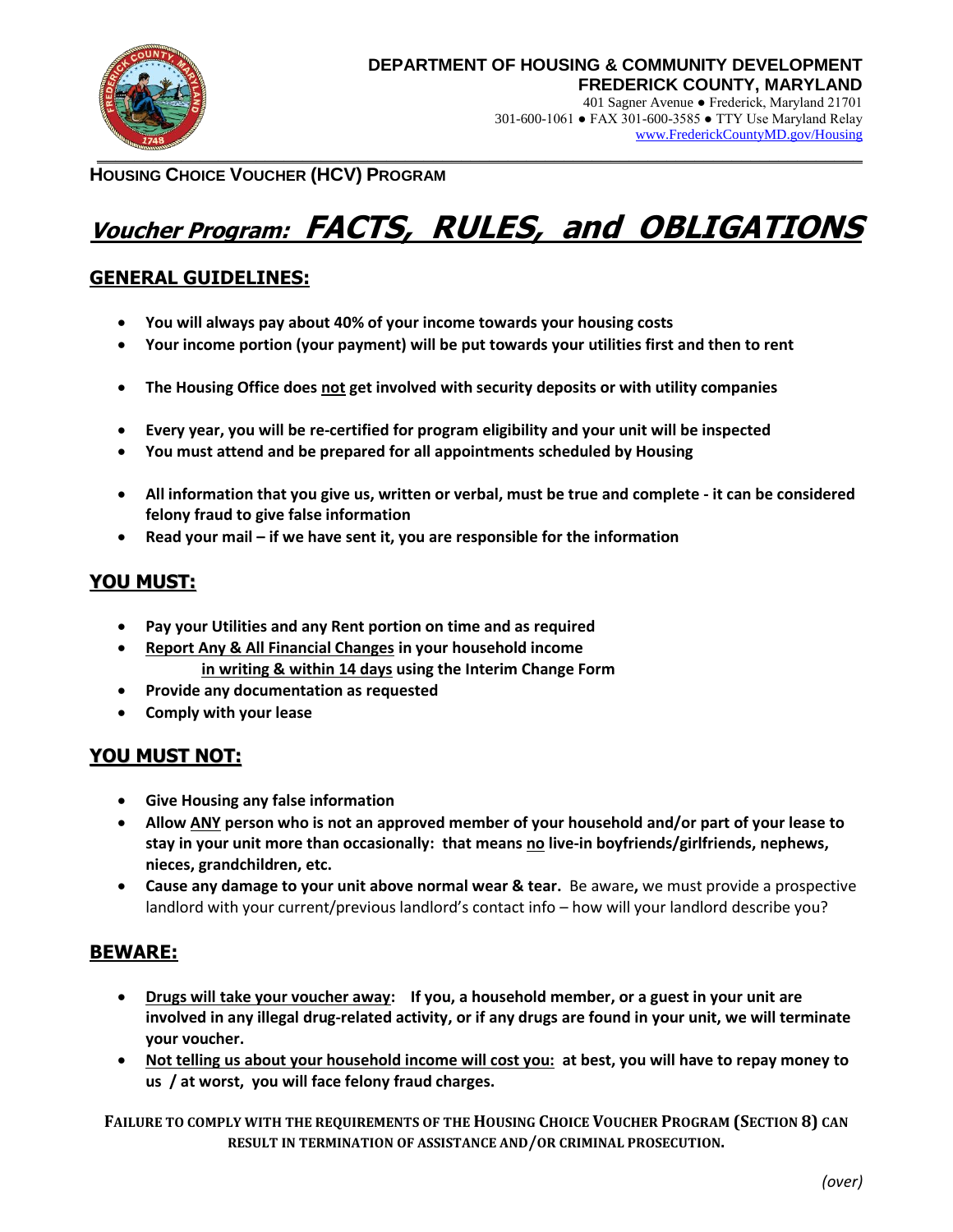

[www.FrederickCountyMD.gov/Housing](http://www.frederickcountymd.gov/Housing)

**HOUSING CHOICE VOUCHER (HCV) PROGRAM**

# **Voucher Program: FACTS, RULES, and OBLIGATIONS**

# **GENERAL GUIDELINES:**

- **You will always pay about 40% of your income towards your housing costs**
- **Your income portion (your payment) will be put towards your utilities first and then to rent**
- **The Housing Office does not get involved with security deposits or with utility companies**
- **Every year, you will be re-certified for program eligibility and your unit will be inspected**
- **You must attend and be prepared for all appointments scheduled by Housing**
- **All information that you give us, written or verbal, must be true and complete - it can be considered felony fraud to give false information**
- **Read your mail – if we have sent it, you are responsible for the information**

# **YOU MUST:**

- **Pay your Utilities and any Rent portion on time and as required**
- **Report Any & All Financial Changes in your household income in writing & within 14 days using the Interim Change Form**
- **Provide any documentation as requested**
- **Comply with your lease**

# **YOU MUST NOT:**

- **Give Housing any false information**
- **Allow ANY person who is not an approved member of your household and/or part of your lease to stay in your unit more than occasionally: that means no live-in boyfriends/girlfriends, nephews, nieces, grandchildren, etc.**
- **Cause any damage to your unit above normal wear & tear.** Be aware**,** we must provide a prospective landlord with your current/previous landlord's contact info – how will your landlord describe you?

# **BEWARE:**

- **Drugs will take your voucher away: If you, a household member, or a guest in your unit are involved in any illegal drug-related activity, or if any drugs are found in your unit, we will terminate your voucher.**
- **Not telling us about your household income will cost you: at best, you will have to repay money to us / at worst, you will face felony fraud charges.**

**FAILURE TO COMPLY WITH THE REQUIREMENTS OF THE HOUSING CHOICE VOUCHER PROGRAM (SECTION 8) CAN RESULT IN TERMINATION OF ASSISTANCE AND/OR CRIMINAL PROSECUTION.**